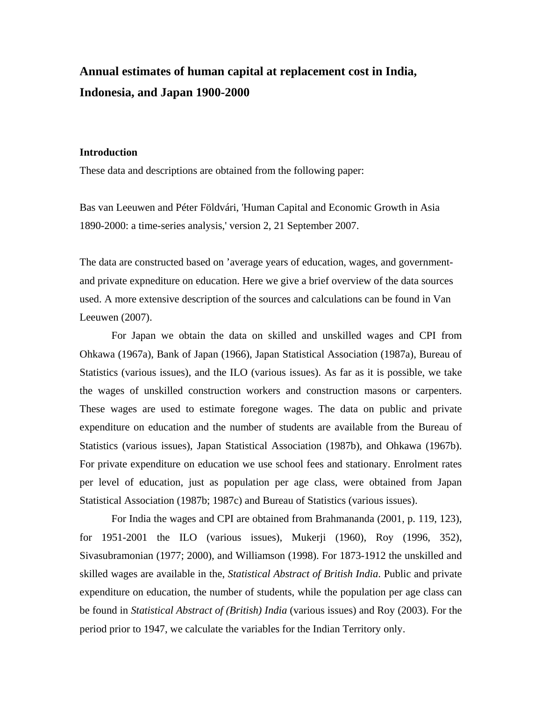## **Annual estimates of human capital at replacement cost in India, Indonesia, and Japan 1900-2000**

## **Introduction**

These data and descriptions are obtained from the following paper:

Bas van Leeuwen and Péter Földvári, 'Human Capital and Economic Growth in Asia 1890-2000: a time-series analysis,' version 2, 21 September 2007.

The data are constructed based on 'average years of education, wages, and governmentand private expnediture on education. Here we give a brief overview of the data sources used. A more extensive description of the sources and calculations can be found in Van Leeuwen (2007).

For Japan we obtain the data on skilled and unskilled wages and CPI from Ohkawa (1967a), Bank of Japan (1966), Japan Statistical Association (1987a), Bureau of Statistics (various issues), and the ILO (various issues). As far as it is possible, we take the wages of unskilled construction workers and construction masons or carpenters. These wages are used to estimate foregone wages. The data on public and private expenditure on education and the number of students are available from the Bureau of Statistics (various issues), Japan Statistical Association (1987b), and Ohkawa (1967b). For private expenditure on education we use school fees and stationary. Enrolment rates per level of education, just as population per age class, were obtained from Japan Statistical Association (1987b; 1987c) and Bureau of Statistics (various issues).

 For India the wages and CPI are obtained from Brahmananda (2001, p. 119, 123), for 1951-2001 the ILO (various issues), Mukerji (1960), Roy (1996, 352), Sivasubramonian (1977; 2000), and Williamson (1998). For 1873-1912 the unskilled and skilled wages are available in the, *Statistical Abstract of British India*. Public and private expenditure on education, the number of students, while the population per age class can be found in *Statistical Abstract of (British) India* (various issues) and Roy (2003). For the period prior to 1947, we calculate the variables for the Indian Territory only.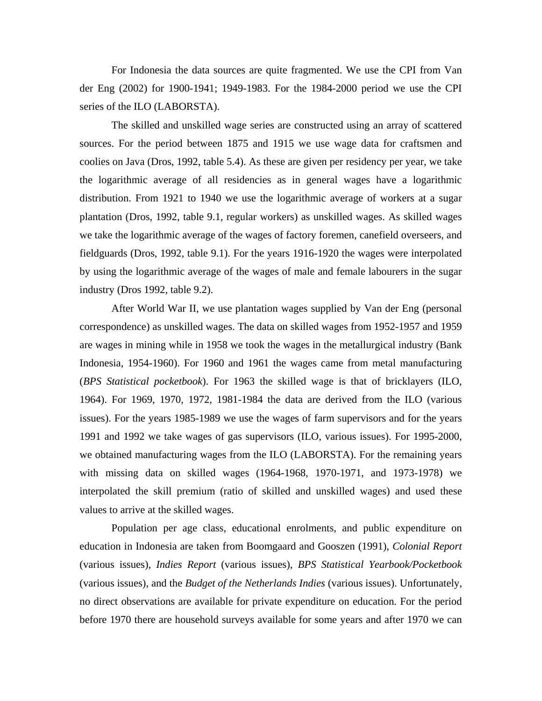For Indonesia the data sources are quite fragmented. We use the CPI from Van der Eng (2002) for 1900-1941; 1949-1983. For the 1984-2000 period we use the CPI series of the ILO (LABORSTA).

The skilled and unskilled wage series are constructed using an array of scattered sources. For the period between 1875 and 1915 we use wage data for craftsmen and coolies on Java (Dros, 1992, table 5.4). As these are given per residency per year, we take the logarithmic average of all residencies as in general wages have a logarithmic distribution. From 1921 to 1940 we use the logarithmic average of workers at a sugar plantation (Dros, 1992, table 9.1, regular workers) as unskilled wages. As skilled wages we take the logarithmic average of the wages of factory foremen, canefield overseers, and fieldguards (Dros, 1992, table 9.1). For the years 1916-1920 the wages were interpolated by using the logarithmic average of the wages of male and female labourers in the sugar industry (Dros 1992, table 9.2).

After World War II, we use plantation wages supplied by Van der Eng (personal correspondence) as unskilled wages. The data on skilled wages from 1952-1957 and 1959 are wages in mining while in 1958 we took the wages in the metallurgical industry (Bank Indonesia, 1954-1960). For 1960 and 1961 the wages came from metal manufacturing (*BPS Statistical pocketbook*). For 1963 the skilled wage is that of bricklayers (ILO, 1964). For 1969, 1970, 1972, 1981-1984 the data are derived from the ILO (various issues). For the years 1985-1989 we use the wages of farm supervisors and for the years 1991 and 1992 we take wages of gas supervisors (ILO, various issues). For 1995-2000, we obtained manufacturing wages from the ILO (LABORSTA). For the remaining years with missing data on skilled wages (1964-1968, 1970-1971, and 1973-1978) we interpolated the skill premium (ratio of skilled and unskilled wages) and used these values to arrive at the skilled wages.

 Population per age class, educational enrolments, and public expenditure on education in Indonesia are taken from Boomgaard and Gooszen (1991), *Colonial Report* (various issues), *Indies Report* (various issues), *BPS Statistical Yearbook/Pocketbook* (various issues), and the *Budget of the Netherlands Indies* (various issues). Unfortunately, no direct observations are available for private expenditure on education. For the period before 1970 there are household surveys available for some years and after 1970 we can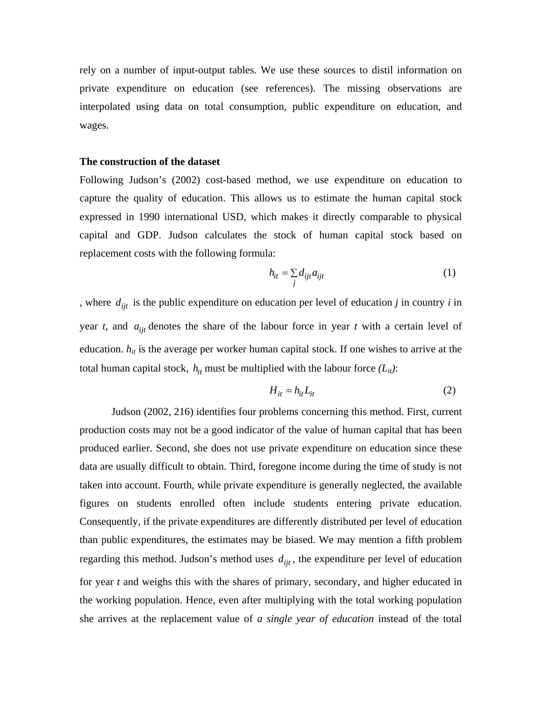rely on a number of input-output tables. We use these sources to distil information on private expenditure on education (see references). The missing observations are interpolated using data on total consumption, public expenditure on education, and wages.

## **The construction of the dataset**

Following Judson's (2002) cost-based method, we use expenditure on education to capture the quality of education. This allows us to estimate the human capital stock expressed in 1990 international USD, which makes it directly comparable to physical capital and GDP. Judson calculates the stock of human capital stock based on replacement costs with the following formula:

$$
h_{it} = \sum_{j} d_{ijt} a_{ijt} \tag{1}
$$

, where  $d_{ijt}$  is the public expenditure on education per level of education *j* in country *i* in year *t*, and  $a_{ijt}$  denotes the share of the labour force in year *t* with a certain level of education.  $h_{it}$  is the average per worker human capital stock. If one wishes to arrive at the total human capital stock,  $h_{it}$  must be multiplied with the labour force  $(L_{it})$ :

$$
H_{it} = h_{it} L_{it} \tag{2}
$$

 Judson (2002, 216) identifies four problems concerning this method. First, current production costs may not be a good indicator of the value of human capital that has been produced earlier. Second, she does not use private expenditure on education since these data are usually difficult to obtain. Third, foregone income during the time of study is not taken into account. Fourth, while private expenditure is generally neglected, the available figures on students enrolled often include students entering private education. Consequently, if the private expenditures are differently distributed per level of education than public expenditures, the estimates may be biased. We may mention a fifth problem regarding this method. Judson's method uses  $d_{ijt}$ , the expenditure per level of education for year *t* and weighs this with the shares of primary, secondary, and higher educated in the working population. Hence, even after multiplying with the total working population she arrives at the replacement value of *a single year of education* instead of the total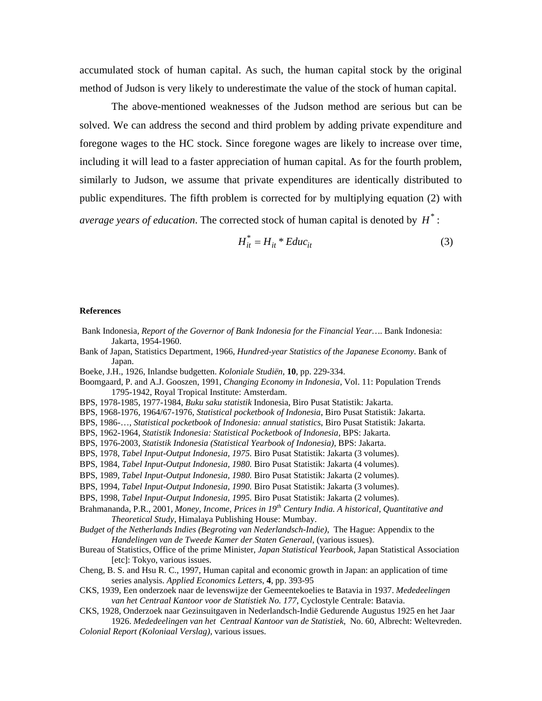accumulated stock of human capital. As such, the human capital stock by the original method of Judson is very likely to underestimate the value of the stock of human capital.

 The above-mentioned weaknesses of the Judson method are serious but can be solved. We can address the second and third problem by adding private expenditure and foregone wages to the HC stock. Since foregone wages are likely to increase over time, including it will lead to a faster appreciation of human capital. As for the fourth problem, similarly to Judson, we assume that private expenditures are identically distributed to public expenditures. The fifth problem is corrected for by multiplying equation (2) with *average years of education*. The corrected stock of human capital is denoted by  $H^*$ :

$$
H_{it}^* = H_{it}^* E duc_{it}
$$
 (3)

## **References**

- Bank Indonesia, *Report of the Governor of Bank Indonesia for the Financial Year…*. Bank Indonesia: Jakarta, 1954-1960.
- Bank of Japan, Statistics Department, 1966, *Hundred-year Statistics of the Japanese Economy*. Bank of Japan.
- Boeke, J.H., 1926, Inlandse budgetten. *Koloniale Studiën*, **10**, pp. 229-334.
- Boomgaard, P. and A.J. Gooszen, 1991, *Changing Economy in Indonesia*, Vol. 11: Population Trends 1795-1942, Royal Tropical Institute: Amsterdam.
- BPS, 1978-1985, 1977-1984, *Buku saku statistik* Indonesia, Biro Pusat Statistik: Jakarta.
- BPS, 1968-1976, 1964/67-1976, *Statistical pocketbook of Indonesia*, Biro Pusat Statistik: Jakarta.
- BPS, 1986-…, *Statistical pocketbook of Indonesia: annual statistics*, Biro Pusat Statistik: Jakarta.
- BPS, 1962-1964, *Statistik Indonesia: Statistical Pocketbook of Indonesia*, BPS: Jakarta.
- BPS, 1976-2003, *Statistik Indonesia (Statistical Yearbook of Indonesia)*, BPS: Jakarta.
- BPS, 1978, *Tabel Input-Output Indonesia, 1975.* Biro Pusat Statistik: Jakarta (3 volumes).
- BPS, 1984, *Tabel Input-Output Indonesia, 1980.* Biro Pusat Statistik: Jakarta (4 volumes).
- BPS, 1989, *Tabel Input-Output Indonesia, 1980.* Biro Pusat Statistik: Jakarta (2 volumes).
- BPS, 1994, *Tabel Input-Output Indonesia, 1990.* Biro Pusat Statistik: Jakarta (3 volumes).
- BPS, 1998, *Tabel Input-Output Indonesia, 1995.* Biro Pusat Statistik: Jakarta (2 volumes).
- Brahmananda, P.R., 2001, *Money, Income, Prices in 19th Century India. A historical, Quantitative and Theoretical Study*, Himalaya Publishing House: Mumbay.
- *Budget of the Netherlands Indies (Begroting van Nederlandsch-Indie)*, The Hague: Appendix to the *Handelingen van de Tweede Kamer der Staten Generaal*, (various issues).
- Bureau of Statistics, Office of the prime Minister, *Japan Statistical Yearbook*, Japan Statistical Association [etc]: Tokyo, various issues.
- Cheng, B. S. and Hsu R. C., 1997, Human capital and economic growth in Japan: an application of time series analysis. *Applied Economics Letters*, **4**, pp. 393-95
- CKS, 1939, Een onderzoek naar de levenswijze der Gemeentekoelies te Batavia in 1937. *Mededeelingen van het Centraal Kantoor voor de Statistiek No. 177*, Cyclostyle Centrale: Batavia.
- CKS, 1928, Onderzoek naar Gezinsuitgaven in Nederlandsch-Indië Gedurende Augustus 1925 en het Jaar 1926. *Mededeelingen van het Centraal Kantoor van de Statistiek*, No. 60, Albrecht: Weltevreden.
- *Colonial Report (Koloniaal Verslag)*, various issues.